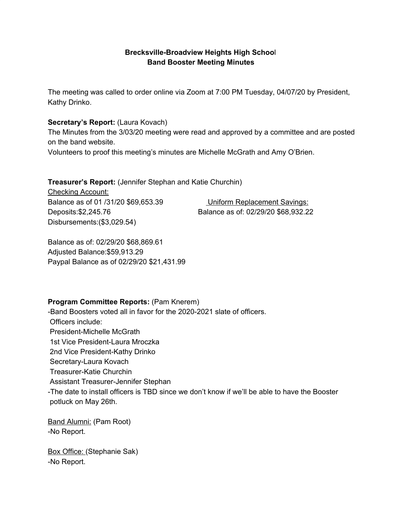### **Brecksville-Broadview Heights High Schoo**l **Band Booster Meeting Minutes**

The meeting was called to order online via Zoom at 7:00 PM Tuesday, 04/07/20 by President, Kathy Drinko.

#### **Secretary's Report:** (Laura Kovach)

The Minutes from the 3/03/20 meeting were read and approved by a committee and are posted on the band website.

Volunteers to proof this meeting's minutes are Michelle McGrath and Amy O'Brien.

**Treasurer's Report:** (Jennifer Stephan and Katie Churchin)

Checking Account: Balance as of 01 /31/20 \$69,653.39 Uniform Replacement Savings: Deposits:\$2,245.76 Balance as of: 02/29/20 \$68,932.22 Disbursements:(\$3,029.54)

Balance as of: 02/29/20 \$68,869.61 Adjusted Balance:\$59,913.29 Paypal Balance as of 02/29/20 \$21,431.99

### **Program Committee Reports:** (Pam Knerem)

-Band Boosters voted all in favor for the 2020-2021 slate of officers. Officers include: President-Michelle McGrath 1st Vice President-Laura Mroczka 2nd Vice President-Kathy Drinko Secretary-Laura Kovach Treasurer-Katie Churchin Assistant Treasurer-Jennifer Stephan -The date to install officers is TBD since we don't know if we'll be able to have the Booster potluck on May 26th.

Band Alumni: (Pam Root) -No Report.

Box Office: (Stephanie Sak) -No Report.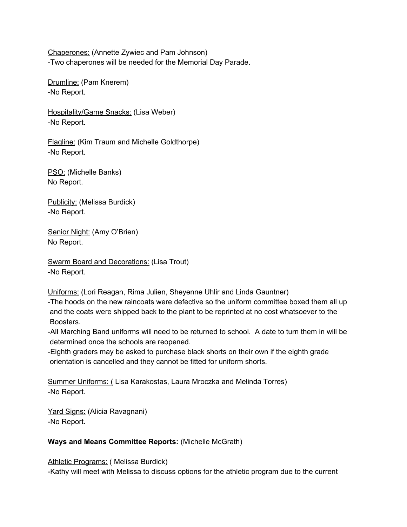Chaperones: (Annette Zywiec and Pam Johnson) -Two chaperones will be needed for the Memorial Day Parade.

Drumline: (Pam Knerem) -No Report.

Hospitality/Game Snacks: (Lisa Weber) -No Report.

Flagline: (Kim Traum and Michelle Goldthorpe) -No Report.

PSO: (Michelle Banks) No Report.

Publicity: (Melissa Burdick) -No Report.

Senior Night: (Amy O'Brien) No Report.

Swarm Board and Decorations: (Lisa Trout) -No Report.

Uniforms: (Lori Reagan, Rima Julien, Sheyenne Uhlir and Linda Gauntner)

-The hoods on the new raincoats were defective so the uniform committee boxed them all up and the coats were shipped back to the plant to be reprinted at no cost whatsoever to the Boosters.

-All Marching Band uniforms will need to be returned to school. A date to turn them in will be determined once the schools are reopened.

-Eighth graders may be asked to purchase black shorts on their own if the eighth grade orientation is cancelled and they cannot be fitted for uniform shorts.

Summer Uniforms: ( Lisa Karakostas, Laura Mroczka and Melinda Torres) -No Report.

Yard Signs: (Alicia Ravagnani) -No Report.

### **Ways and Means Committee Reports:** (Michelle McGrath)

Athletic Programs: ( Melissa Burdick)

-Kathy will meet with Melissa to discuss options for the athletic program due to the current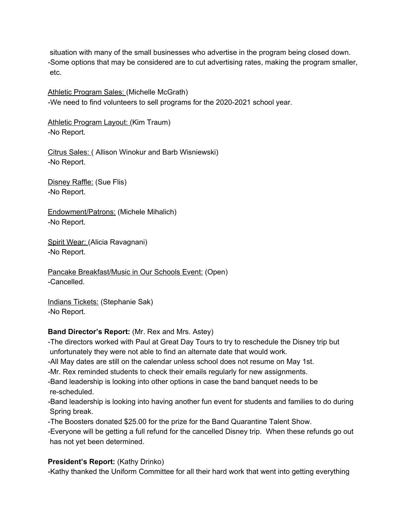situation with many of the small businesses who advertise in the program being closed down. -Some options that may be considered are to cut advertising rates, making the program smaller, etc.

Athletic Program Sales: (Michelle McGrath) -We need to find volunteers to sell programs for the 2020-2021 school year.

Athletic Program Layout: (Kim Traum) -No Report.

Citrus Sales: ( Allison Winokur and Barb Wisniewski) -No Report.

Disney Raffle: (Sue Flis) -No Report.

Endowment/Patrons: (Michele Mihalich) -No Report.

Spirit Wear: (Alicia Ravagnani) -No Report.

Pancake Breakfast/Music in Our Schools Event: (Open) -Cancelled.

Indians Tickets: (Stephanie Sak) -No Report.

# **Band Director's Report:** (Mr. Rex and Mrs. Astey)

-The directors worked with Paul at Great Day Tours to try to reschedule the Disney trip but unfortunately they were not able to find an alternate date that would work.

-All May dates are still on the calendar unless school does not resume on May 1st.

-Mr. Rex reminded students to check their emails regularly for new assignments.

-Band leadership is looking into other options in case the band banquet needs to be re-scheduled.

-Band leadership is looking into having another fun event for students and families to do during Spring break.

-The Boosters donated \$25.00 for the prize for the Band Quarantine Talent Show.

-Everyone will be getting a full refund for the cancelled Disney trip. When these refunds go out has not yet been determined.

# **President's Report:** (Kathy Drinko)

-Kathy thanked the Uniform Committee for all their hard work that went into getting everything